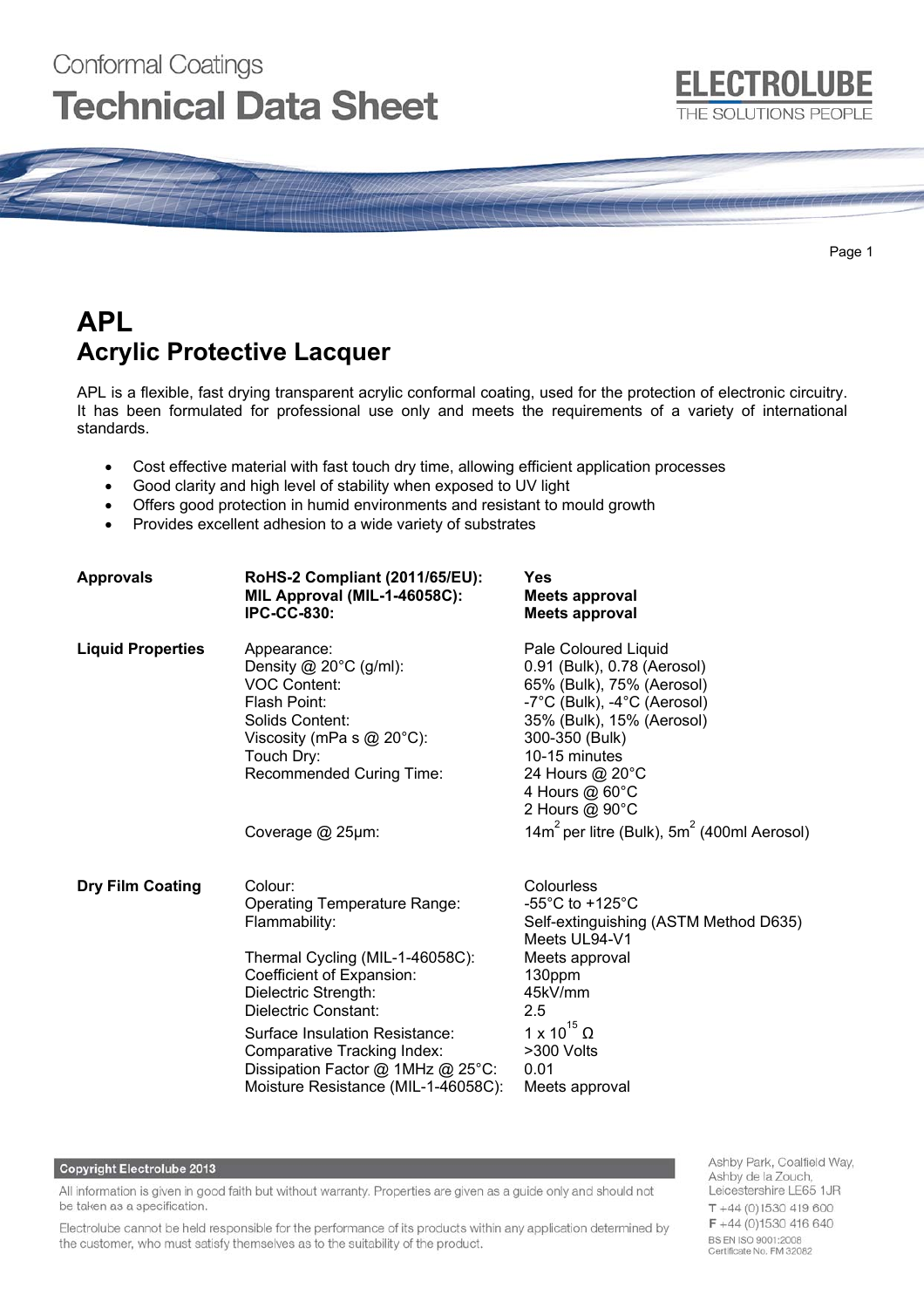# Conformal Coatings **Technical Data Sheet**



Page 1

# **APL Acrylic Protective Lacquer**

APL is a flexible, fast drying transparent acrylic conformal coating, used for the protection of electronic circuitry. It has been formulated for professional use only and meets the requirements of a variety of international standards.

- Cost effective material with fast touch dry time, allowing efficient application processes
- Good clarity and high level of stability when exposed to UV light
- Offers good protection in humid environments and resistant to mould growth
- Provides excellent adhesion to a wide variety of substrates

| <b>Approvals</b>         | RoHS-2 Compliant (2011/65/EU):<br>MIL Approval (MIL-1-46058C):<br><b>IPC-CC-830:</b>                                                                                                                                                                                                                                         | <b>Yes</b><br><b>Meets approval</b><br><b>Meets approval</b>                                                                                                                                                                           |
|--------------------------|------------------------------------------------------------------------------------------------------------------------------------------------------------------------------------------------------------------------------------------------------------------------------------------------------------------------------|----------------------------------------------------------------------------------------------------------------------------------------------------------------------------------------------------------------------------------------|
| <b>Liquid Properties</b> | Appearance:<br>Density $@$ 20 $°C$ (g/ml):<br><b>VOC Content:</b><br>Flash Point:<br>Solids Content:<br>Viscosity (mPa s $@$ 20 $°C$ ):<br>Touch Dry:<br>Recommended Curing Time:                                                                                                                                            | Pale Coloured Liquid<br>0.91 (Bulk), 0.78 (Aerosol)<br>65% (Bulk), 75% (Aerosol)<br>-7°C (Bulk), -4°C (Aerosol)<br>35% (Bulk), 15% (Aerosol)<br>300-350 (Bulk)<br>10-15 minutes<br>24 Hours @ 20°C<br>4 Hours @ 60°C<br>2 Hours @ 90°C |
|                          | Coverage @ 25µm:                                                                                                                                                                                                                                                                                                             | 14 $m^2$ per litre (Bulk), $5m^2$ (400ml Aerosol)                                                                                                                                                                                      |
| <b>Dry Film Coating</b>  | Colour:<br><b>Operating Temperature Range:</b><br>Flammability:<br>Thermal Cycling (MIL-1-46058C):<br>Coefficient of Expansion:<br>Dielectric Strength:<br>Dielectric Constant:<br>Surface Insulation Resistance:<br>Comparative Tracking Index:<br>Dissipation Factor @ 1MHz @ 25°C:<br>Moisture Resistance (MIL-1-46058C): | Colourless<br>$-55^{\circ}$ C to $+125^{\circ}$ C<br>Self-extinguishing (ASTM Method D635)<br>Meets UL94-V1<br>Meets approval<br>130ppm<br>45kV/mm<br>2.5<br>1 x 10 $^{15}$ $\Omega$<br>>300 Volts<br>0.01<br>Meets approval           |

#### **Copyright Electrolube 2013**

All information is given in good faith but without warranty. Properties are given as a guide only and should not be taken as a specification.

Electrolube cannot be held responsible for the performance of its products within any application determined by the customer, who must satisfy themselves as to the suitability of the product.

Ashby Park, Coalfield Way, Ashby de la Zouch, Leicestershire LE65 1JR  $T + 44(0)1530419600$  $F + 44(0)1530416640$ BS EN ISO 9001:2008 Certificate No. FM 32082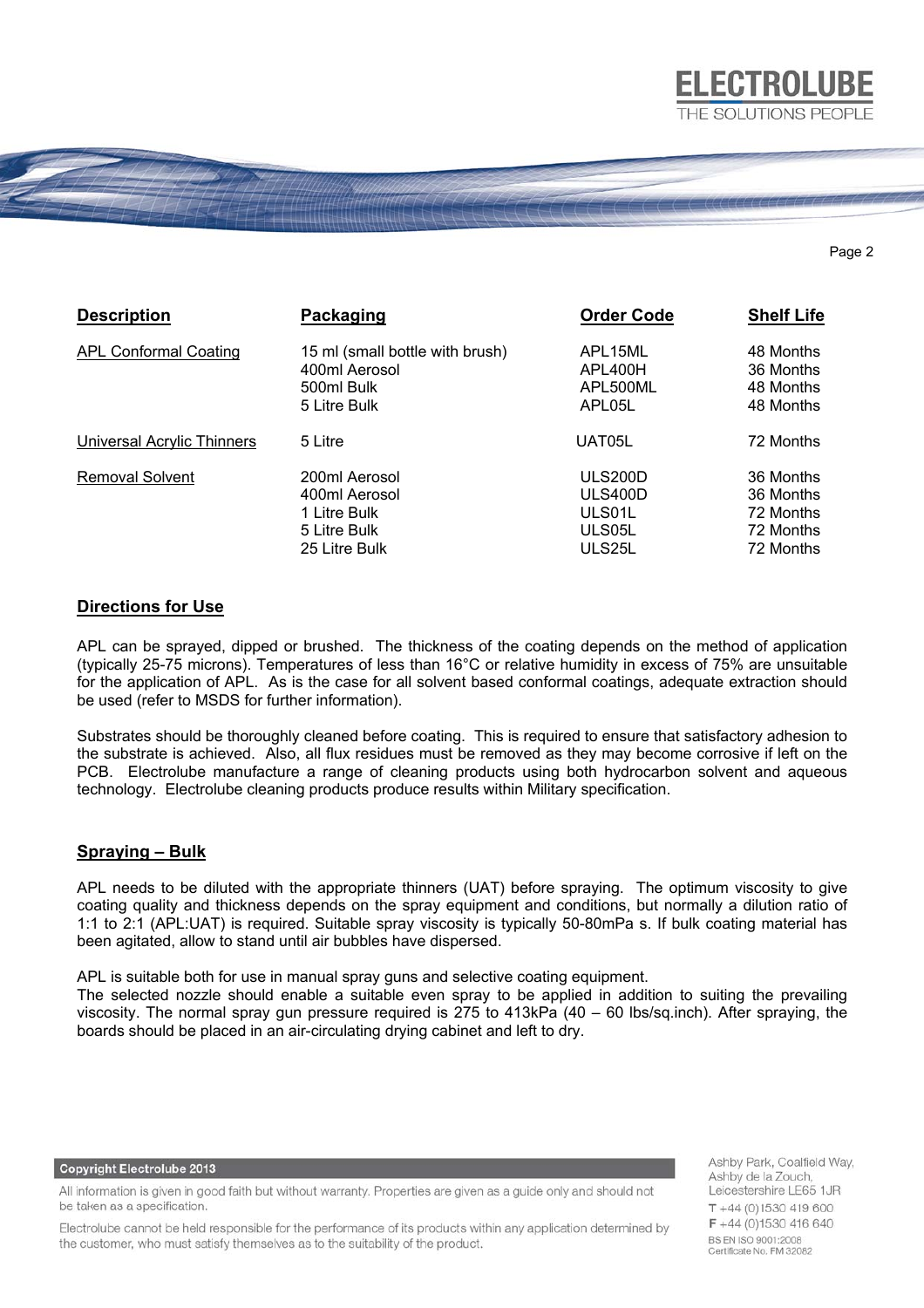

#### Page 2

| <b>Description</b>                | Packaging                       | <b>Order Code</b> | <b>Shelf Life</b> |
|-----------------------------------|---------------------------------|-------------------|-------------------|
| <b>APL Conformal Coating</b>      | 15 ml (small bottle with brush) | APL15ML           | 48 Months         |
|                                   | 400ml Aerosol                   | APL400H           | 36 Months         |
|                                   | 500ml Bulk                      | APL500ML          | 48 Months         |
|                                   | 5 Litre Bulk                    | APL05L            | 48 Months         |
| <b>Universal Acrylic Thinners</b> | 5 Litre                         | UAT05L            | 72 Months         |
| <b>Removal Solvent</b>            | 200ml Aerosol                   | ULS200D           | 36 Months         |
|                                   | 400ml Aerosol                   | ULS400D           | 36 Months         |
|                                   | 1 Litre Bulk                    | ULS01L            | 72 Months         |
|                                   | 5 Litre Bulk                    | ULS05L            | 72 Months         |
|                                   | 25 Litre Bulk                   | ULS25L            | 72 Months         |

# **Directions for Use**

APL can be sprayed, dipped or brushed. The thickness of the coating depends on the method of application (typically 25-75 microns). Temperatures of less than 16°C or relative humidity in excess of 75% are unsuitable for the application of APL. As is the case for all solvent based conformal coatings, adequate extraction should be used (refer to MSDS for further information).

Substrates should be thoroughly cleaned before coating. This is required to ensure that satisfactory adhesion to the substrate is achieved. Also, all flux residues must be removed as they may become corrosive if left on the PCB. Electrolube manufacture a range of cleaning products using both hydrocarbon solvent and aqueous technology. Electrolube cleaning products produce results within Military specification.

## **Spraying – Bulk**

APL needs to be diluted with the appropriate thinners (UAT) before spraying. The optimum viscosity to give coating quality and thickness depends on the spray equipment and conditions, but normally a dilution ratio of 1:1 to 2:1 (APL:UAT) is required. Suitable spray viscosity is typically 50-80mPa s. If bulk coating material has been agitated, allow to stand until air bubbles have dispersed.

APL is suitable both for use in manual spray guns and selective coating equipment.

The selected nozzle should enable a suitable even spray to be applied in addition to suiting the prevailing viscosity. The normal spray gun pressure required is 275 to 413kPa (40 – 60 lbs/sq.inch). After spraying, the boards should be placed in an air-circulating drying cabinet and left to dry.

**Copyright Electrolube 2013** 

All information is given in good faith but without warranty. Properties are given as a guide only and should not be taken as a specification.

Electrolube cannot be held responsible for the performance of its products within any application determined by the customer, who must satisfy themselves as to the suitability of the product.

Ashby Park, Coalfield Way, Ashby de la Zouch, Leicestershire LE65 1JR  $T + 44(0)1530419600$  $F + 44(0)1530416640$ BS EN ISO 9001:2008 Certificate No. FM 32082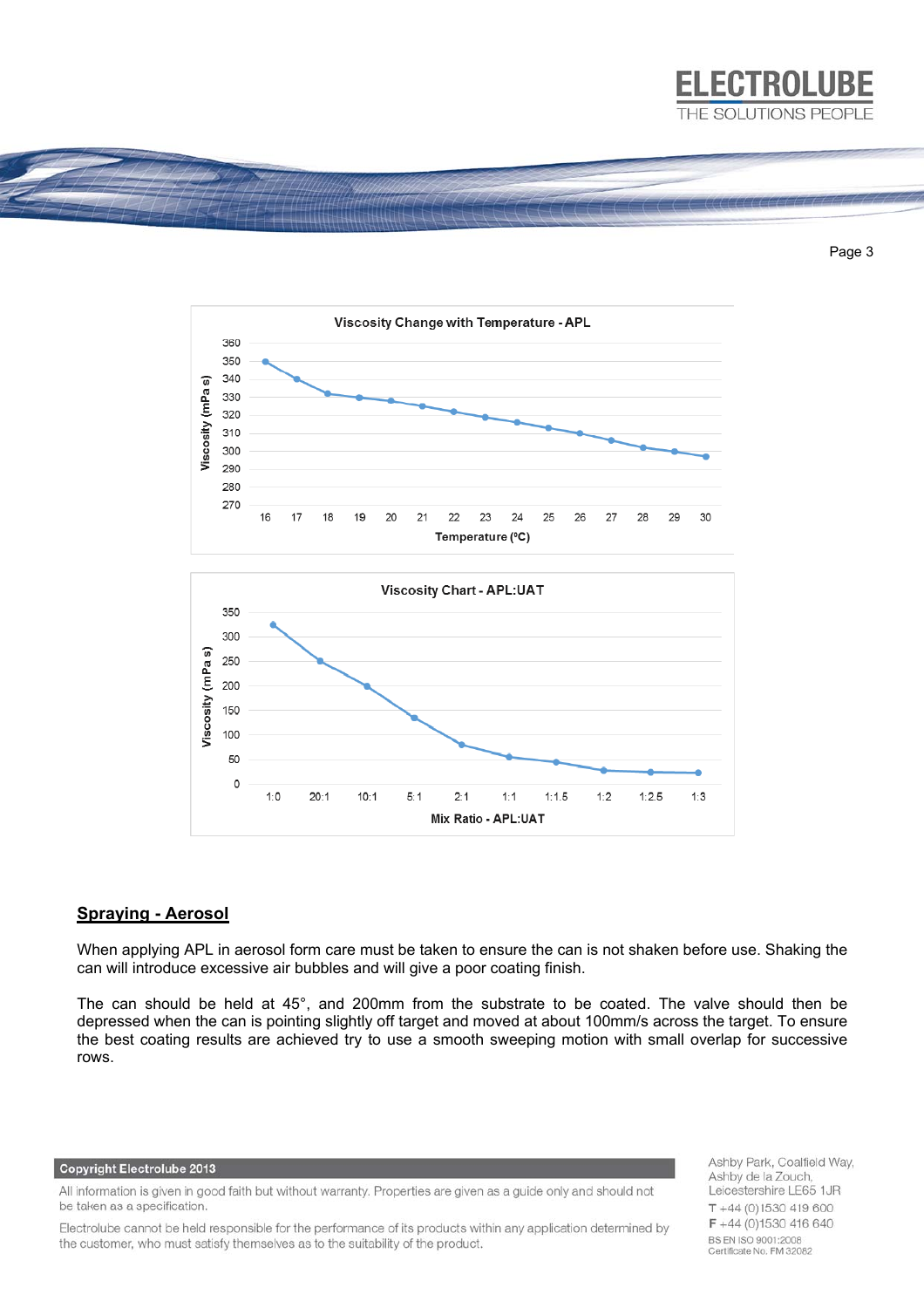

#### Page 3





 $1.0$ 

 $20.1$ 

 $10 - 1$ 

 $5:1$ 

When applying APL in aerosol form care must be taken to ensure the can is not shaken before use. Shaking the can will introduce excessive air bubbles and will give a poor coating finish.

 $2.1$ 

 $1:1$ 

Mix Ratio - APL:UAT

 $1:1.5$ 

 $1:2$ 

 $1:2.5$ 

 $1.3$ 

The can should be held at 45°, and 200mm from the substrate to be coated. The valve should then be depressed when the can is pointing slightly off target and moved at about 100mm/s across the target. To ensure the best coating results are achieved try to use a smooth sweeping motion with small overlap for successive rows.

#### **Copyright Electrolube 2013**

All information is given in good faith but without warranty. Properties are given as a guide only and should not be taken as a specification.

Electrolube cannot be held responsible for the performance of its products within any application determined by the customer, who must satisfy themselves as to the suitability of the product.

Ashby Park, Coalfield Way, Ashby de la Zouch, Leicestershire LE65 1JR  $T + 44(0)1530419600$ F +44 (0)1530 416 640 BS EN ISO 9001:2008 Certificate No. FM 32082